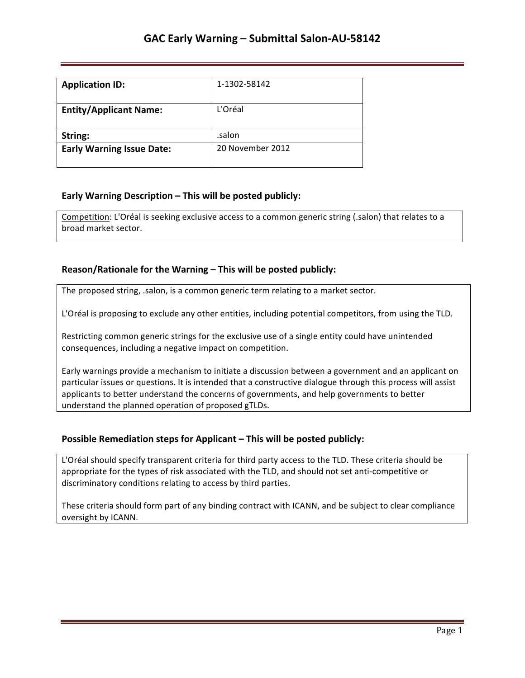| <b>Application ID:</b>           | 1-1302-58142     |
|----------------------------------|------------------|
| <b>Entity/Applicant Name:</b>    | L'Oréal          |
| String:                          | .salon           |
| <b>Early Warning Issue Date:</b> | 20 November 2012 |

### **Early Warning Description – This will be posted publicly:**

Competition: L'Oréal is seeking exclusive access to a common generic string (.salon) that relates to a broad market sector.

### **Reason/Rationale for the Warning – This will be posted publicly:**

The proposed string, .salon, is a common generic term relating to a market sector.

L'Oréal is proposing to exclude any other entities, including potential competitors, from using the TLD.

Restricting common generic strings for the exclusive use of a single entity could have unintended consequences, including a negative impact on competition.

Early warnings provide a mechanism to initiate a discussion between a government and an applicant on particular issues or questions. It is intended that a constructive dialogue through this process will assist applicants to better understand the concerns of governments, and help governments to better understand the planned operation of proposed gTLDs.

#### **Possible Remediation steps for Applicant – This will be posted publicly:**

L'Oréal should specify transparent criteria for third party access to the TLD. These criteria should be appropriate for the types of risk associated with the TLD, and should not set anti-competitive or discriminatory conditions relating to access by third parties.

These criteria should form part of any binding contract with ICANN, and be subject to clear compliance oversight by ICANN.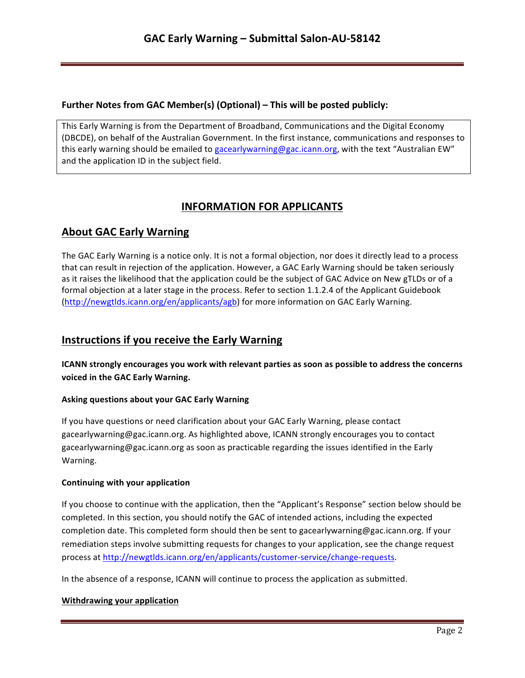## **Further Notes from GAC Member(s) (Optional) – This will be posted publicly:**

This Early Warning is from the Department of Broadband, Communications and the Digital Economy (DBCDE), on behalf of the Australian Government. In the first instance, communications and responses to this early warning should be emailed to gacearlywarning@gac.icann.org, with the text "Australian EW" and the application ID in the subject field.

# **INFORMATION FOR APPLICANTS**

# **About GAC Early Warning**

The GAC Early Warning is a notice only. It is not a formal objection, nor does it directly lead to a process that can result in rejection of the application. However, a GAC Early Warning should be taken seriously as it raises the likelihood that the application could be the subject of GAC Advice on New gTLDs or of a formal objection at a later stage in the process. Refer to section 1.1.2.4 of the Applicant Guidebook (http://newgtlds.icann.org/en/applicants/agb) for more information on GAC Early Warning.

## **Instructions if you receive the Early Warning**

**ICANN** strongly encourages you work with relevant parties as soon as possible to address the concerns voiced in the GAC Early Warning.

### **Asking questions about your GAC Early Warning**

If you have questions or need clarification about your GAC Early Warning, please contact gacearlywarning@gac.icann.org. As highlighted above, ICANN strongly encourages you to contact gacearlywarning@gac.icann.org as soon as practicable regarding the issues identified in the Early Warning. 

#### **Continuing with your application**

If you choose to continue with the application, then the "Applicant's Response" section below should be completed. In this section, you should notify the GAC of intended actions, including the expected completion date. This completed form should then be sent to gacearlywarning@gac.icann.org. If your remediation steps involve submitting requests for changes to your application, see the change request process at http://newgtlds.icann.org/en/applicants/customer-service/change-requests.

In the absence of a response, ICANN will continue to process the application as submitted.

#### **Withdrawing your application**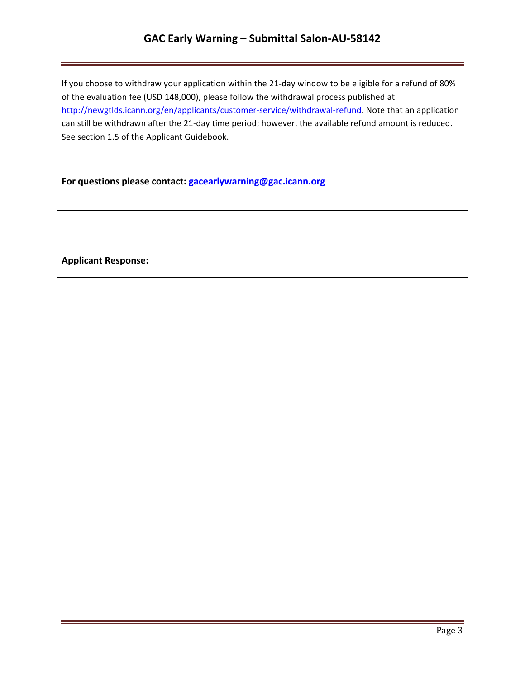## **GAC Early Warning – Submittal Salon-AU-58142**

If you choose to withdraw your application within the 21-day window to be eligible for a refund of 80% of the evaluation fee (USD 148,000), please follow the withdrawal process published at http://newgtlds.icann.org/en/applicants/customer-service/withdrawal-refund. Note that an application can still be withdrawn after the 21-day time period; however, the available refund amount is reduced. See section 1.5 of the Applicant Guidebook.

For questions please contact: **gacearlywarning@gac.icann.org** 

### **Applicant Response:**